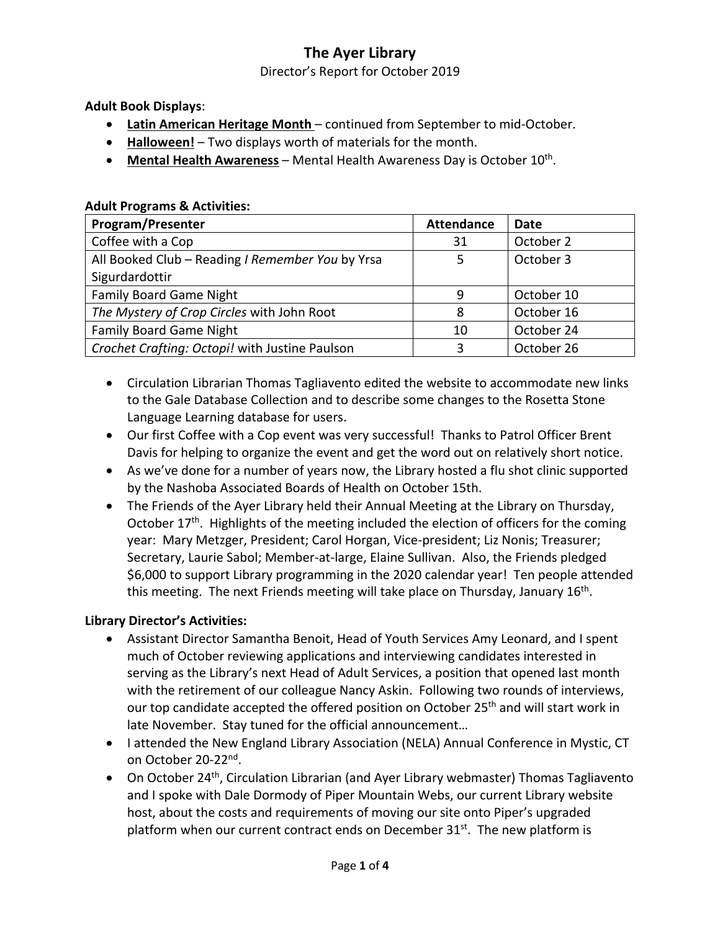Director's Report for October 2019

**Adult Book Displays**:

- **Latin American Heritage Month** continued from September to mid-October.
- **Halloween!** Two displays worth of materials for the month.
- **Mental Health Awareness** Mental Health Awareness Day is October 10th.

#### **Adult Programs & Activities:**

| Program/Presenter                                | <b>Attendance</b> | Date       |
|--------------------------------------------------|-------------------|------------|
| Coffee with a Cop                                | 31                | October 2  |
| All Booked Club - Reading I Remember You by Yrsa |                   | October 3  |
| Sigurdardottir                                   |                   |            |
| <b>Family Board Game Night</b>                   | q                 | October 10 |
| The Mystery of Crop Circles with John Root       | 8                 | October 16 |
| <b>Family Board Game Night</b>                   | 10                | October 24 |
| Crochet Crafting: Octopi! with Justine Paulson   | ς                 | October 26 |

- Circulation Librarian Thomas Tagliavento edited the website to accommodate new links to the Gale Database Collection and to describe some changes to the Rosetta Stone Language Learning database for users.
- Our first Coffee with a Cop event was very successful! Thanks to Patrol Officer Brent Davis for helping to organize the event and get the word out on relatively short notice.
- As we've done for a number of years now, the Library hosted a flu shot clinic supported by the Nashoba Associated Boards of Health on October 15th.
- The Friends of the Ayer Library held their Annual Meeting at the Library on Thursday, October  $17<sup>th</sup>$ . Highlights of the meeting included the election of officers for the coming year: Mary Metzger, President; Carol Horgan, Vice-president; Liz Nonis; Treasurer; Secretary, Laurie Sabol; Member-at-large, Elaine Sullivan. Also, the Friends pledged \$6,000 to support Library programming in the 2020 calendar year! Ten people attended this meeting. The next Friends meeting will take place on Thursday, January 16<sup>th</sup>.

#### **Library Director's Activities:**

- Assistant Director Samantha Benoit, Head of Youth Services Amy Leonard, and I spent much of October reviewing applications and interviewing candidates interested in serving as the Library's next Head of Adult Services, a position that opened last month with the retirement of our colleague Nancy Askin. Following two rounds of interviews, our top candidate accepted the offered position on October 25<sup>th</sup> and will start work in late November. Stay tuned for the official announcement…
- I attended the New England Library Association (NELA) Annual Conference in Mystic, CT on October 20-22nd.
- On October 24<sup>th</sup>, Circulation Librarian (and Ayer Library webmaster) Thomas Tagliavento and I spoke with Dale Dormody of Piper Mountain Webs, our current Library website host, about the costs and requirements of moving our site onto Piper's upgraded platform when our current contract ends on December 31<sup>st</sup>. The new platform is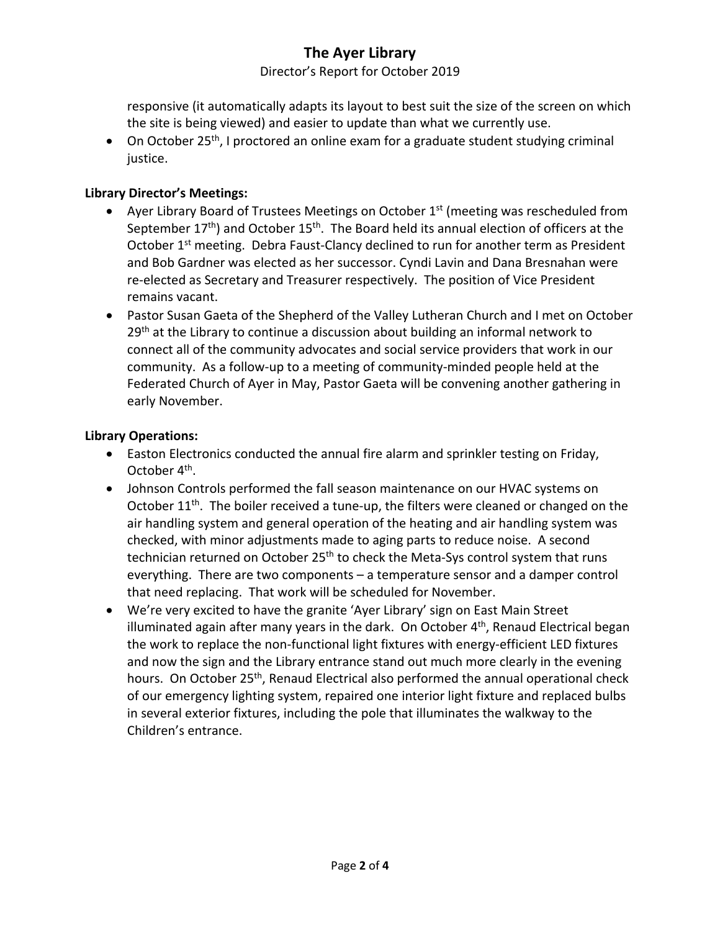Director's Report for October 2019

responsive (it automatically adapts its layout to best suit the size of the screen on which the site is being viewed) and easier to update than what we currently use.

• On October 25<sup>th</sup>, I proctored an online exam for a graduate student studying criminal justice.

## **Library Director's Meetings:**

- Ayer Library Board of Trustees Meetings on October  $1<sup>st</sup>$  (meeting was rescheduled from September  $17<sup>th</sup>$ ) and October  $15<sup>th</sup>$ . The Board held its annual election of officers at the October 1<sup>st</sup> meeting. Debra Faust-Clancy declined to run for another term as President and Bob Gardner was elected as her successor. Cyndi Lavin and Dana Bresnahan were re-elected as Secretary and Treasurer respectively. The position of Vice President remains vacant.
- Pastor Susan Gaeta of the Shepherd of the Valley Lutheran Church and I met on October 29<sup>th</sup> at the Library to continue a discussion about building an informal network to connect all of the community advocates and social service providers that work in our community. As a follow-up to a meeting of community-minded people held at the Federated Church of Ayer in May, Pastor Gaeta will be convening another gathering in early November.

## **Library Operations:**

- Easton Electronics conducted the annual fire alarm and sprinkler testing on Friday, October 4th.
- Johnson Controls performed the fall season maintenance on our HVAC systems on October  $11<sup>th</sup>$ . The boiler received a tune-up, the filters were cleaned or changed on the air handling system and general operation of the heating and air handling system was checked, with minor adjustments made to aging parts to reduce noise. A second technician returned on October 25<sup>th</sup> to check the Meta-Sys control system that runs everything. There are two components – a temperature sensor and a damper control that need replacing. That work will be scheduled for November.
- We're very excited to have the granite 'Ayer Library' sign on East Main Street illuminated again after many years in the dark. On October  $4<sup>th</sup>$ , Renaud Electrical began the work to replace the non-functional light fixtures with energy-efficient LED fixtures and now the sign and the Library entrance stand out much more clearly in the evening hours. On October 25<sup>th</sup>, Renaud Electrical also performed the annual operational check of our emergency lighting system, repaired one interior light fixture and replaced bulbs in several exterior fixtures, including the pole that illuminates the walkway to the Children's entrance.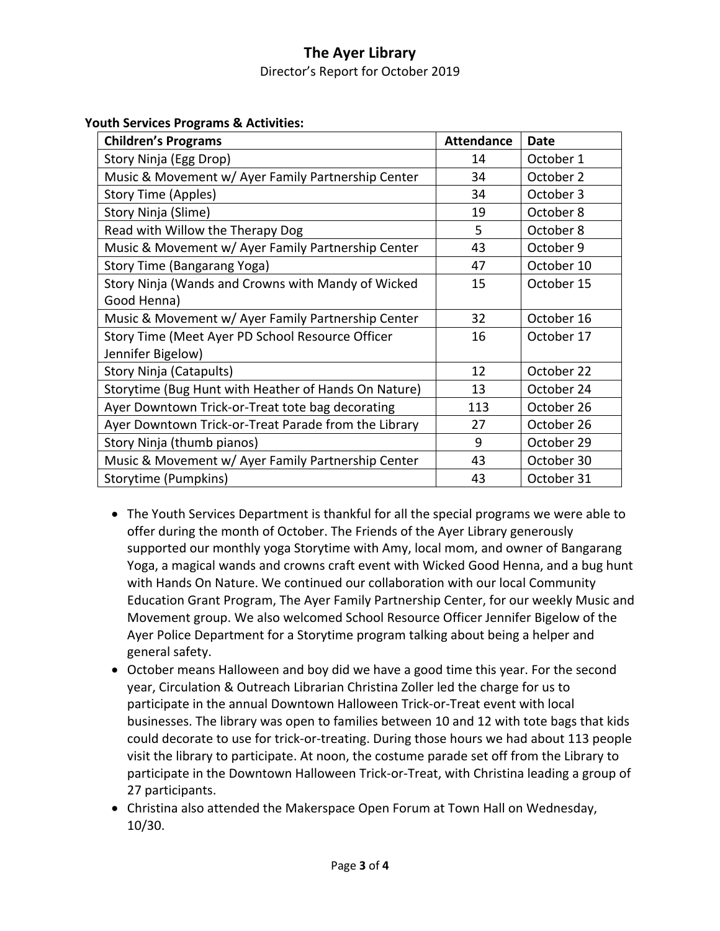Director's Report for October 2019

#### **Youth Services Programs & Activities:**

| <b>Children's Programs</b>                           | <b>Attendance</b> | <b>Date</b> |
|------------------------------------------------------|-------------------|-------------|
| Story Ninja (Egg Drop)                               | 14                | October 1   |
| Music & Movement w/ Ayer Family Partnership Center   | 34                | October 2   |
| Story Time (Apples)                                  | 34                | October 3   |
| Story Ninja (Slime)                                  | 19                | October 8   |
| Read with Willow the Therapy Dog                     | 5                 | October 8   |
| Music & Movement w/ Ayer Family Partnership Center   | 43                | October 9   |
| Story Time (Bangarang Yoga)                          | 47                | October 10  |
| Story Ninja (Wands and Crowns with Mandy of Wicked   | 15                | October 15  |
| Good Henna)                                          |                   |             |
| Music & Movement w/ Ayer Family Partnership Center   | 32                | October 16  |
| Story Time (Meet Ayer PD School Resource Officer     | 16                | October 17  |
| Jennifer Bigelow)                                    |                   |             |
| Story Ninja (Catapults)                              | 12                | October 22  |
| Storytime (Bug Hunt with Heather of Hands On Nature) | 13                | October 24  |
| Ayer Downtown Trick-or-Treat tote bag decorating     | 113               | October 26  |
| Ayer Downtown Trick-or-Treat Parade from the Library | 27                | October 26  |
| Story Ninja (thumb pianos)                           | 9                 | October 29  |
| Music & Movement w/ Ayer Family Partnership Center   | 43                | October 30  |
| Storytime (Pumpkins)                                 | 43                | October 31  |

- The Youth Services Department is thankful for all the special programs we were able to offer during the month of October. The Friends of the Ayer Library generously supported our monthly yoga Storytime with Amy, local mom, and owner of Bangarang Yoga, a magical wands and crowns craft event with Wicked Good Henna, and a bug hunt with Hands On Nature. We continued our collaboration with our local Community Education Grant Program, The Ayer Family Partnership Center, for our weekly Music and Movement group. We also welcomed School Resource Officer Jennifer Bigelow of the Ayer Police Department for a Storytime program talking about being a helper and general safety.
- October means Halloween and boy did we have a good time this year. For the second year, Circulation & Outreach Librarian Christina Zoller led the charge for us to participate in the annual Downtown Halloween Trick-or-Treat event with local businesses. The library was open to families between 10 and 12 with tote bags that kids could decorate to use for trick-or-treating. During those hours we had about 113 people visit the library to participate. At noon, the costume parade set off from the Library to participate in the Downtown Halloween Trick-or-Treat, with Christina leading a group of 27 participants.
- Christina also attended the Makerspace Open Forum at Town Hall on Wednesday, 10/30.